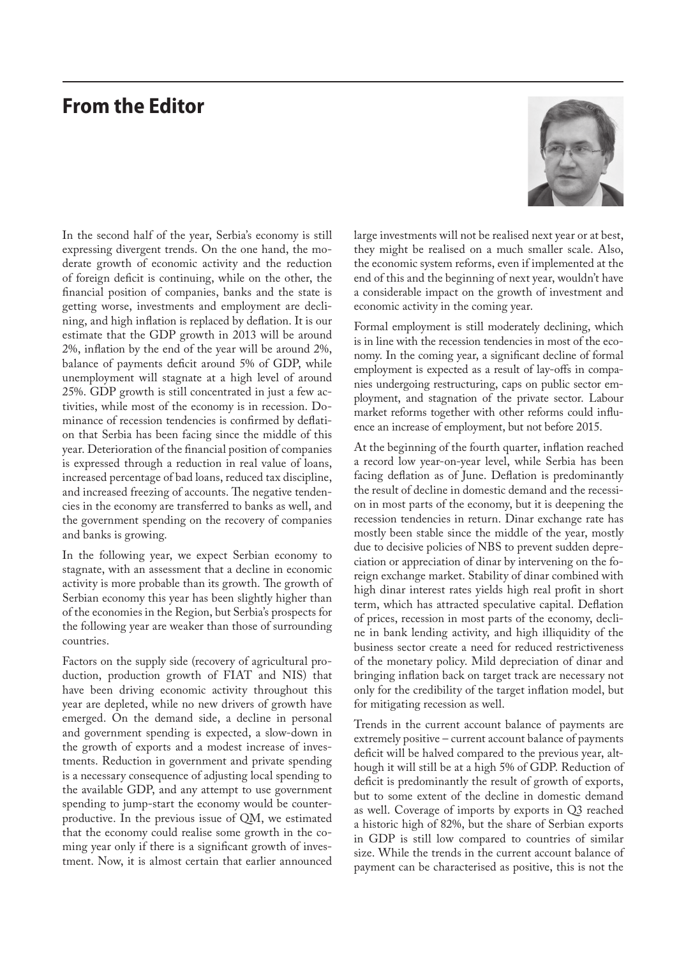## **From the Editor**



In the second half of the year, Serbia's economy is still expressing divergent trends. On the one hand, the moderate growth of economic activity and the reduction of foreign deficit is continuing, while on the other, the financial position of companies, banks and the state is getting worse, investments and employment are declining, and high inflation is replaced by deflation. It is our estimate that the GDP growth in 2013 will be around 2%, inflation by the end of the year will be around 2%, balance of payments deficit around 5% of GDP, while unemployment will stagnate at a high level of around 25%. GDP growth is still concentrated in just a few activities, while most of the economy is in recession. Dominance of recession tendencies is confirmed by deflation that Serbia has been facing since the middle of this year. Deterioration of the financial position of companies is expressed through a reduction in real value of loans, increased percentage of bad loans, reduced tax discipline, and increased freezing of accounts. The negative tendencies in the economy are transferred to banks as well, and the government spending on the recovery of companies and banks is growing.

In the following year, we expect Serbian economy to stagnate, with an assessment that a decline in economic activity is more probable than its growth. The growth of Serbian economy this year has been slightly higher than of the economies in the Region, but Serbia's prospects for the following year are weaker than those of surrounding countries.

Factors on the supply side (recovery of agricultural production, production growth of FIAT and NIS) that have been driving economic activity throughout this year are depleted, while no new drivers of growth have emerged. On the demand side, a decline in personal and government spending is expected, a slow-down in the growth of exports and a modest increase of investments. Reduction in government and private spending is a necessary consequence of adjusting local spending to the available GDP, and any attempt to use government spending to jump-start the economy would be counterproductive. In the previous issue of QM, we estimated that the economy could realise some growth in the coming year only if there is a significant growth of investment. Now, it is almost certain that earlier announced large investments will not be realised next year or at best, they might be realised on a much smaller scale. Also, the economic system reforms, even if implemented at the end of this and the beginning of next year, wouldn't have a considerable impact on the growth of investment and economic activity in the coming year.

Formal employment is still moderately declining, which is in line with the recession tendencies in most of the economy. In the coming year, a significant decline of formal employment is expected as a result of lay-offs in companies undergoing restructuring, caps on public sector employment, and stagnation of the private sector. Labour market reforms together with other reforms could influence an increase of employment, but not before 2015.

At the beginning of the fourth quarter, inflation reached a record low year-on-year level, while Serbia has been facing deflation as of June. Deflation is predominantly the result of decline in domestic demand and the recession in most parts of the economy, but it is deepening the recession tendencies in return. Dinar exchange rate has mostly been stable since the middle of the year, mostly due to decisive policies of NBS to prevent sudden depreciation or appreciation of dinar by intervening on the foreign exchange market. Stability of dinar combined with high dinar interest rates yields high real profit in short term, which has attracted speculative capital. Deflation of prices, recession in most parts of the economy, decline in bank lending activity, and high illiquidity of the business sector create a need for reduced restrictiveness of the monetary policy. Mild depreciation of dinar and bringing inflation back on target track are necessary not only for the credibility of the target inflation model, but for mitigating recession as well.

Trends in the current account balance of payments are extremely positive – current account balance of payments deficit will be halved compared to the previous year, although it will still be at a high 5% of GDP. Reduction of deficit is predominantly the result of growth of exports, but to some extent of the decline in domestic demand as well. Coverage of imports by exports in Q3 reached a historic high of 82%, but the share of Serbian exports in GDP is still low compared to countries of similar size. While the trends in the current account balance of payment can be characterised as positive, this is not the